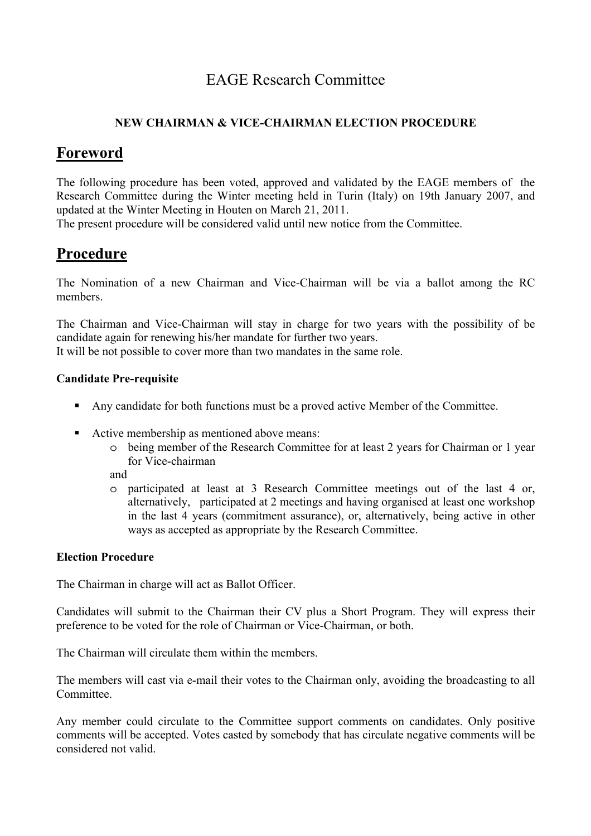# EAGE Research Committee

### **NEW CHAIRMAN & VICE-CHAIRMAN ELECTION PROCEDURE**

## **Foreword**

The following procedure has been voted, approved and validated by the EAGE members of the Research Committee during the Winter meeting held in Turin (Italy) on 19th January 2007, and updated at the Winter Meeting in Houten on March 21, 2011.

The present procedure will be considered valid until new notice from the Committee.

# **Procedure**

The Nomination of a new Chairman and Vice-Chairman will be via a ballot among the RC members.

The Chairman and Vice-Chairman will stay in charge for two years with the possibility of be candidate again for renewing his/her mandate for further two years. It will be not possible to cover more than two mandates in the same role.

#### **Candidate Pre-requisite**

- Any candidate for both functions must be a proved active Member of the Committee.
- Active membership as mentioned above means:
	- o being member of the Research Committee for at least 2 years for Chairman or 1 year for Vice-chairman

and

o participated at least at 3 Research Committee meetings out of the last 4 or, alternatively, participated at 2 meetings and having organised at least one workshop in the last 4 years (commitment assurance), or, alternatively, being active in other ways as accepted as appropriate by the Research Committee.

### **Election Procedure**

The Chairman in charge will act as Ballot Officer.

Candidates will submit to the Chairman their CV plus a Short Program. They will express their preference to be voted for the role of Chairman or Vice-Chairman, or both.

The Chairman will circulate them within the members.

The members will cast via e-mail their votes to the Chairman only, avoiding the broadcasting to all Committee.

Any member could circulate to the Committee support comments on candidates. Only positive comments will be accepted. Votes casted by somebody that has circulate negative comments will be considered not valid.